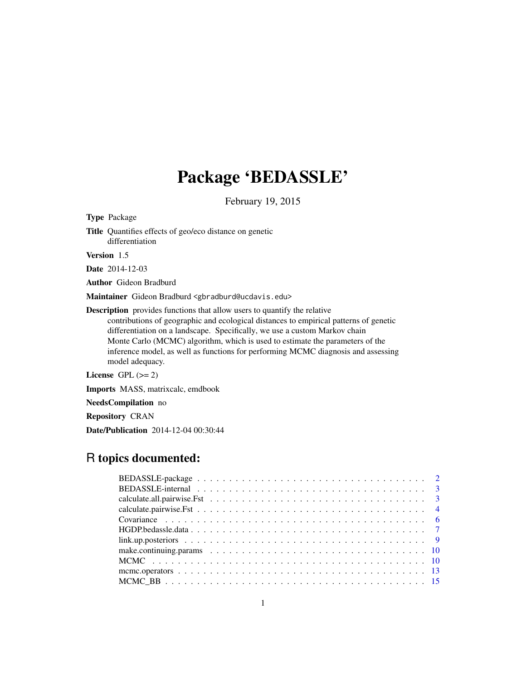# Package 'BEDASSLE'

February 19, 2015

Type Package

Title Quantifies effects of geo/eco distance on genetic differentiation

Version 1.5

Date 2014-12-03

Author Gideon Bradburd

Maintainer Gideon Bradburd <gbradburd@ucdavis.edu>

Description provides functions that allow users to quantify the relative contributions of geographic and ecological distances to empirical patterns of genetic differentiation on a landscape. Specifically, we use a custom Markov chain Monte Carlo (MCMC) algorithm, which is used to estimate the parameters of the inference model, as well as functions for performing MCMC diagnosis and assessing model adequacy.

License GPL  $(>= 2)$ 

Imports MASS, matrixcalc, emdbook

NeedsCompilation no

Repository CRAN

Date/Publication 2014-12-04 00:30:44

# R topics documented: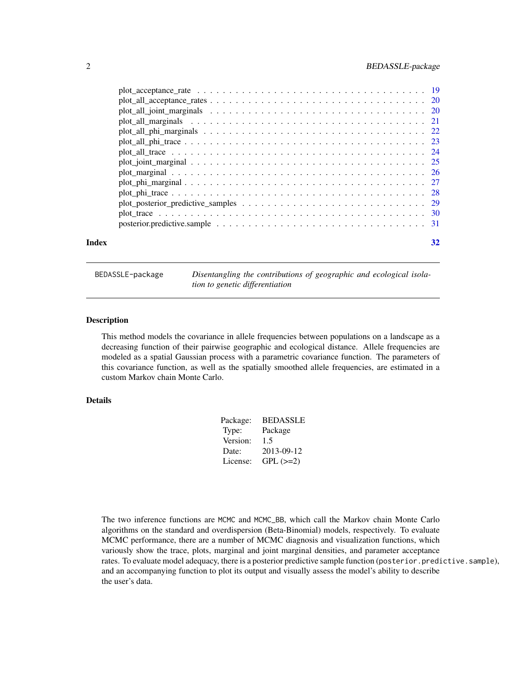<span id="page-1-0"></span>

|       | posterior.predictive.sample $\dots \dots \dots \dots \dots \dots \dots \dots \dots \dots \dots \dots \dots \dots \dots$ |    |
|-------|-------------------------------------------------------------------------------------------------------------------------|----|
| Index |                                                                                                                         | 32 |

BEDASSLE-package *Disentangling the contributions of geographic and ecological isolation to genetic differentiation*

# Description

This method models the covariance in allele frequencies between populations on a landscape as a decreasing function of their pairwise geographic and ecological distance. Allele frequencies are modeled as a spatial Gaussian process with a parametric covariance function. The parameters of this covariance function, as well as the spatially smoothed allele frequencies, are estimated in a custom Markov chain Monte Carlo.

# Details

| Package: | <b>BEDASSLE</b> |
|----------|-----------------|
| Type:    | Package         |
| Version: | 1.5             |
| Date:    | 2013-09-12      |
| License: | $GPL (=2)$      |
|          |                 |

The two inference functions are MCMC and MCMC\_BB, which call the Markov chain Monte Carlo algorithms on the standard and overdispersion (Beta-Binomial) models, respectively. To evaluate MCMC performance, there are a number of MCMC diagnosis and visualization functions, which variously show the trace, plots, marginal and joint marginal densities, and parameter acceptance rates. To evaluate model adequacy, there is a posterior predictive sample function (posterior.predictive.sample), and an accompanying function to plot its output and visually assess the model's ability to describe the user's data.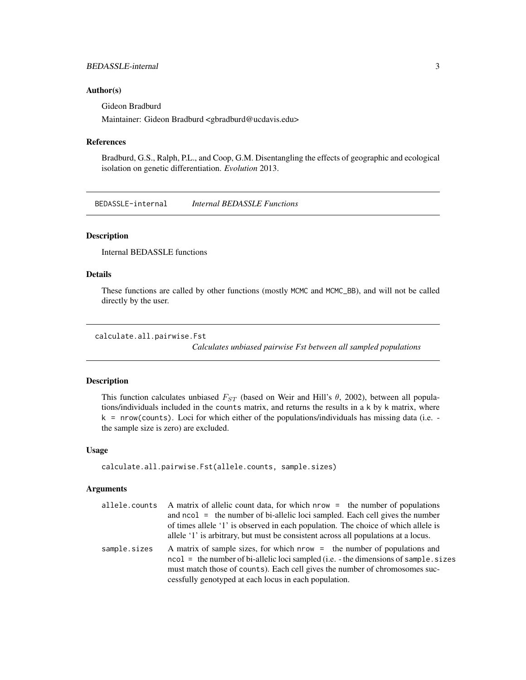# <span id="page-2-0"></span>BEDASSLE-internal 3

### Author(s)

Gideon Bradburd

Maintainer: Gideon Bradburd <gbradburd@ucdavis.edu>

# References

Bradburd, G.S., Ralph, P.L., and Coop, G.M. Disentangling the effects of geographic and ecological isolation on genetic differentiation. *Evolution* 2013.

BEDASSLE-internal *Internal BEDASSLE Functions*

# Description

Internal BEDASSLE functions

# Details

These functions are called by other functions (mostly MCMC and MCMC\_BB), and will not be called directly by the user.

# calculate.all.pairwise.Fst

*Calculates unbiased pairwise Fst between all sampled populations*

# Description

This function calculates unbiased  $F_{ST}$  (based on Weir and Hill's  $\theta$ , 2002), between all populations/individuals included in the counts matrix, and returns the results in a k by k matrix, where  $k = nrow(counts)$ . Loci for which either of the populations/individuals has missing data (i.e.  $$ the sample size is zero) are excluded.

#### Usage

```
calculate.all.pairwise.Fst(allele.counts, sample.sizes)
```

| allele.counts | A matrix of allelic count data, for which nrow = the number of populations                                                                                                                                                                                                                                               |
|---------------|--------------------------------------------------------------------------------------------------------------------------------------------------------------------------------------------------------------------------------------------------------------------------------------------------------------------------|
|               | and $ncol =$ the number of bi-allelic loci sampled. Each cell gives the number                                                                                                                                                                                                                                           |
|               | of times allele '1' is observed in each population. The choice of which allele is                                                                                                                                                                                                                                        |
|               | allele '1' is arbitrary, but must be consistent across all populations at a locus.                                                                                                                                                                                                                                       |
| sample.sizes  | A matrix of sample sizes, for which nrow = the number of populations and<br>$\text{ncol} = \text{the number of bi-allelic loci sampled (i.e. - the dimensions of sample. sizes}$<br>must match those of counts). Each cell gives the number of chromosomes suc-<br>cessfully genotyped at each locus in each population. |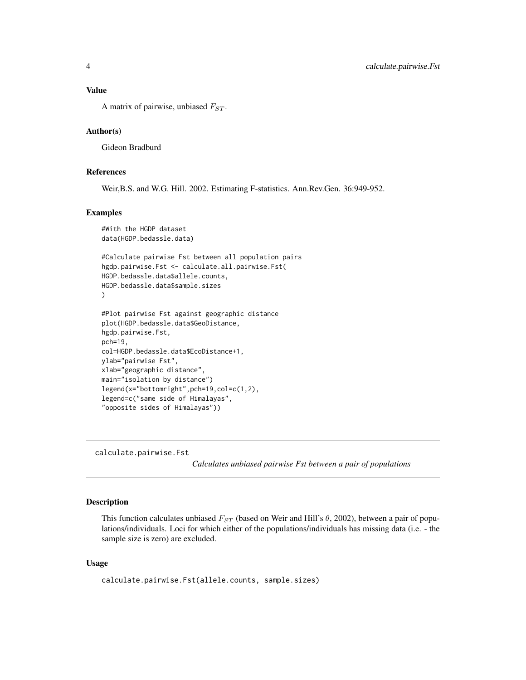<span id="page-3-0"></span>A matrix of pairwise, unbiased  $F_{ST}$ .

# Author(s)

Gideon Bradburd

# References

Weir,B.S. and W.G. Hill. 2002. Estimating F-statistics. Ann.Rev.Gen. 36:949-952.

# Examples

```
#With the HGDP dataset
data(HGDP.bedassle.data)
#Calculate pairwise Fst between all population pairs
hgdp.pairwise.Fst <- calculate.all.pairwise.Fst(
HGDP.bedassle.data$allele.counts,
HGDP.bedassle.data$sample.sizes
)
#Plot pairwise Fst against geographic distance
plot(HGDP.bedassle.data$GeoDistance,
hgdp.pairwise.Fst,
pch=19,
col=HGDP.bedassle.data$EcoDistance+1,
ylab="pairwise Fst",
xlab="geographic distance",
main="isolation by distance")
legend(x="bottomright",pch=19,col=c(1,2),
legend=c("same side of Himalayas",
"opposite sides of Himalayas"))
```
calculate.pairwise.Fst

*Calculates unbiased pairwise Fst between a pair of populations*

# Description

This function calculates unbiased  $F_{ST}$  (based on Weir and Hill's  $\theta$ , 2002), between a pair of populations/individuals. Loci for which either of the populations/individuals has missing data (i.e. - the sample size is zero) are excluded.

# Usage

calculate.pairwise.Fst(allele.counts, sample.sizes)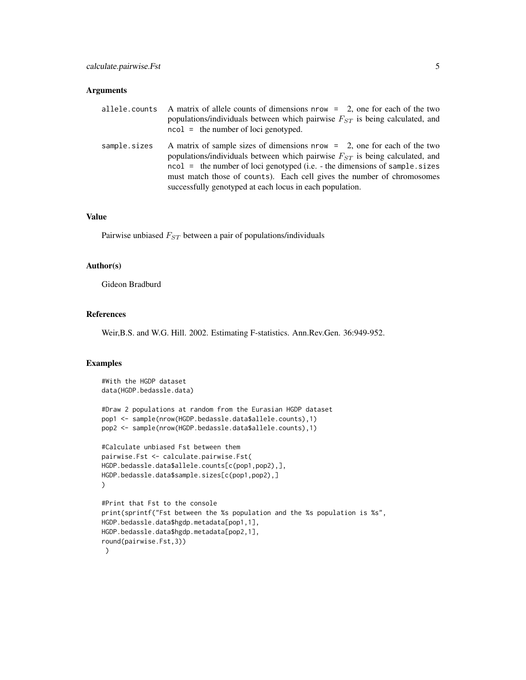# Arguments

|              | allele.counts A matrix of allele counts of dimensions nrow = 2, one for each of the two<br>populations/individuals between which pairwise $F_{ST}$ is being calculated, and<br>$\text{ncol} = \text{the number of loci genotyped.}$                                                                                                                                                         |
|--------------|---------------------------------------------------------------------------------------------------------------------------------------------------------------------------------------------------------------------------------------------------------------------------------------------------------------------------------------------------------------------------------------------|
| sample.sizes | A matrix of sample sizes of dimensions nrow $=$ 2, one for each of the two<br>populations/individuals between which pairwise $F_{ST}$ is being calculated, and<br>$\text{ncol}$ = the number of loci genotyped (i.e. - the dimensions of sample sizes<br>must match those of counts). Each cell gives the number of chromosomes<br>successfully genotyped at each locus in each population. |

# Value

Pairwise unbiased  $F_{ST}$  between a pair of populations/individuals

# Author(s)

Gideon Bradburd

# References

Weir,B.S. and W.G. Hill. 2002. Estimating F-statistics. Ann.Rev.Gen. 36:949-952.

# Examples

```
#With the HGDP dataset
data(HGDP.bedassle.data)
```

```
#Draw 2 populations at random from the Eurasian HGDP dataset
pop1 <- sample(nrow(HGDP.bedassle.data$allele.counts),1)
pop2 <- sample(nrow(HGDP.bedassle.data$allele.counts),1)
```

```
#Calculate unbiased Fst between them
pairwise.Fst <- calculate.pairwise.Fst(
HGDP.bedassle.data$allele.counts[c(pop1,pop2),],
HGDP.bedassle.data$sample.sizes[c(pop1,pop2),]
)
```

```
#Print that Fst to the console
print(sprintf("Fst between the %s population and the %s population is %s",
HGDP.bedassle.data$hgdp.metadata[pop1,1],
HGDP.bedassle.data$hgdp.metadata[pop2,1],
round(pairwise.Fst,3))
)
```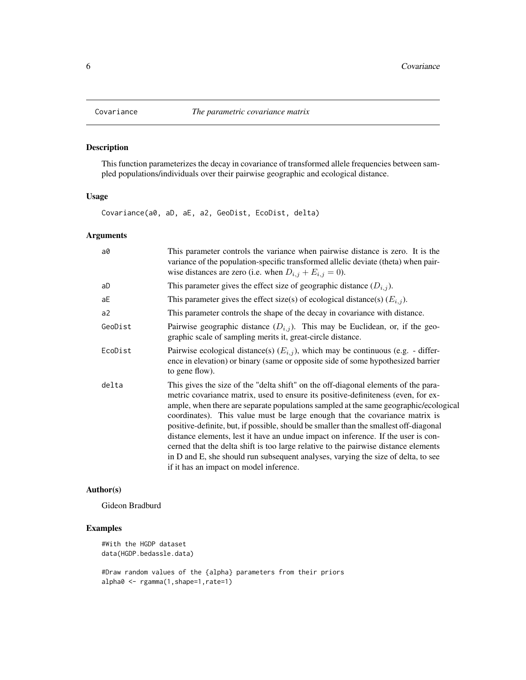# Description

This function parameterizes the decay in covariance of transformed allele frequencies between sampled populations/individuals over their pairwise geographic and ecological distance.

# Usage

Covariance(a0, aD, aE, a2, GeoDist, EcoDist, delta)

# Arguments

| a0      | This parameter controls the variance when pairwise distance is zero. It is the<br>variance of the population-specific transformed allelic deviate (theta) when pair-<br>wise distances are zero (i.e. when $D_{i,j} + E_{i,j} = 0$ ).                                                                                                                                                                                                                                                                                                                                                                                                                                                                                                               |
|---------|-----------------------------------------------------------------------------------------------------------------------------------------------------------------------------------------------------------------------------------------------------------------------------------------------------------------------------------------------------------------------------------------------------------------------------------------------------------------------------------------------------------------------------------------------------------------------------------------------------------------------------------------------------------------------------------------------------------------------------------------------------|
| aD      | This parameter gives the effect size of geographic distance $(D_{i,j})$ .                                                                                                                                                                                                                                                                                                                                                                                                                                                                                                                                                                                                                                                                           |
| аE      | This parameter gives the effect size(s) of ecological distance(s) $(E_{i,j})$ .                                                                                                                                                                                                                                                                                                                                                                                                                                                                                                                                                                                                                                                                     |
| a2      | This parameter controls the shape of the decay in covariance with distance.                                                                                                                                                                                                                                                                                                                                                                                                                                                                                                                                                                                                                                                                         |
| GeoDist | Pairwise geographic distance $(D_{i,j})$ . This may be Euclidean, or, if the geo-<br>graphic scale of sampling merits it, great-circle distance.                                                                                                                                                                                                                                                                                                                                                                                                                                                                                                                                                                                                    |
| EcoDist | Pairwise ecological distance(s) $(E_{i,j})$ , which may be continuous (e.g. - differ-<br>ence in elevation) or binary (same or opposite side of some hypothesized barrier<br>to gene flow).                                                                                                                                                                                                                                                                                                                                                                                                                                                                                                                                                         |
| delta   | This gives the size of the "delta shift" on the off-diagonal elements of the para-<br>metric covariance matrix, used to ensure its positive-definiteness (even, for ex-<br>ample, when there are separate populations sampled at the same geographic/ecological<br>coordinates). This value must be large enough that the covariance matrix is<br>positive-definite, but, if possible, should be smaller than the smallest off-diagonal<br>distance elements, lest it have an undue impact on inference. If the user is con-<br>cerned that the delta shift is too large relative to the pairwise distance elements<br>in D and E, she should run subsequent analyses, varying the size of delta, to see<br>if it has an impact on model inference. |

# Author(s)

Gideon Bradburd

# Examples

```
#With the HGDP dataset
data(HGDP.bedassle.data)
```
#Draw random values of the {alpha} parameters from their priors alpha0 <- rgamma(1,shape=1,rate=1)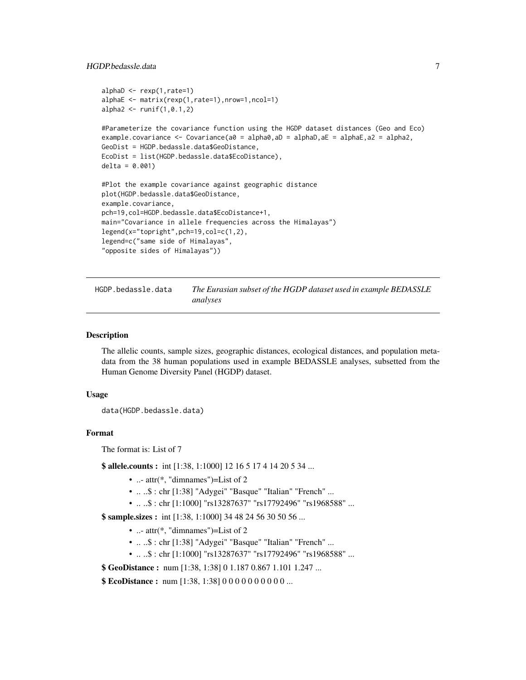# <span id="page-6-0"></span>HGDP.bedassle.data 7

```
alphaD <- rexp(1,rate=1)
alphaE <- matrix(rexp(1,rate=1),nrow=1,ncol=1)
alpha2 < - runif(1, 0.1, 2)#Parameterize the covariance function using the HGDP dataset distances (Geo and Eco)
example.covariance <- Covariance(a0 = alpha0,aD = alphaD,aE = alphaE,a2 = alpha2,
GeoDist = HGDP.bedassle.data$GeoDistance,
EcoDist = list(HGDP.bedassle.data$EcoDistance),
delta = 0.001)
#Plot the example covariance against geographic distance
plot(HGDP.bedassle.data$GeoDistance,
example.covariance,
pch=19,col=HGDP.bedassle.data$EcoDistance+1,
main="Covariance in allele frequencies across the Himalayas")
legend(x="topright",pch=19,col=c(1,2),
legend=c("same side of Himalayas",
"opposite sides of Himalayas"))
```
HGDP.bedassle.data *The Eurasian subset of the HGDP dataset used in example BEDASSLE analyses*

#### Description

The allelic counts, sample sizes, geographic distances, ecological distances, and population metadata from the 38 human populations used in example BEDASSLE analyses, subsetted from the Human Genome Diversity Panel (HGDP) dataset.

#### Usage

```
data(HGDP.bedassle.data)
```
# Format

The format is: List of 7

**\$ allele.counts :** int [1:38, 1:1000] 12 16 5 17 4 14 20 5 34 ...

- ...-  $\text{attr}(*, \text{"dimensionless"}$  = List of 2
- .. ..\$ : chr [1:38] "Adygei" "Basque" "Italian" "French" ...
- .. ..\$ : chr [1:1000] "rs13287637" "rs17792496" "rs1968588" ...

**\$ sample.sizes :** int [1:38, 1:1000] 34 48 24 56 30 50 56 ...

- ...-  $\text{attr}(*, \text{"dimnames"}$  = List of 2
- .. ..\$ : chr [1:38] "Adygei" "Basque" "Italian" "French" ...
- .. ..\$ : chr [1:1000] "rs13287637" "rs17792496" "rs1968588" ...

**\$ GeoDistance :** num [1:38, 1:38] 0 1.187 0.867 1.101 1.247 ...

\$ EcoDistance: num [1:38, 1:38] 0 0 0 0 0 0 0 0 0 0 ...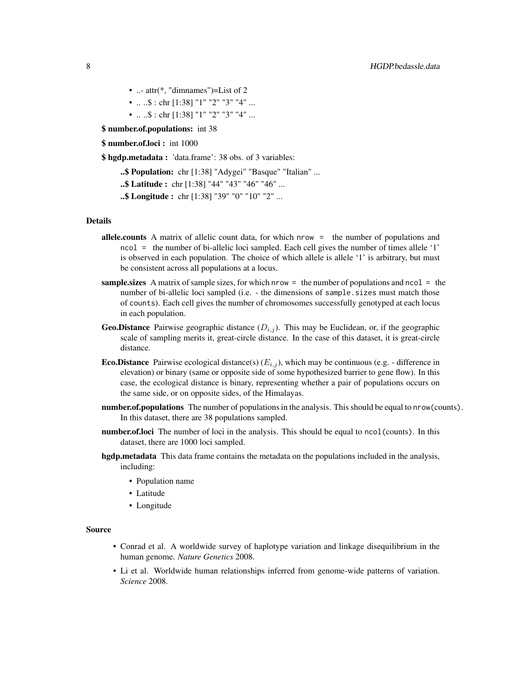- ...-  $attr(*, "dimensiones") = List of 2$
- .. ..\$ : chr [1:38] "1" "2" "3" "4" ...
- .. ..\$ : chr [1:38] "1" "2" "3" "4" ...

\$ number.of.populations: int 38

\$ number.of.loci : int 1000

\$ hgdp.metadata : 'data.frame': 38 obs. of 3 variables:

..\$ Population: chr [1:38] "Adygei" "Basque" "Italian" ...

- ..\$ Latitude : chr [1:38] "44" "43" "46" "46" ...
- ..\$ Longitude : chr [1:38] "39" "0" "10" "2" ...

# Details

- allele.counts A matrix of allelic count data, for which nrow = the number of populations and ncol = the number of bi-allelic loci sampled. Each cell gives the number of times allele '1' is observed in each population. The choice of which allele is allele '1' is arbitrary, but must be consistent across all populations at a locus.
- sample. sizes A matrix of sample sizes, for which nrow  $=$  the number of populations and ncol  $=$  the number of bi-allelic loci sampled (i.e. - the dimensions of sample.sizes must match those of counts). Each cell gives the number of chromosomes successfully genotyped at each locus in each population.
- **Geo.Distance** Pairwise geographic distance  $(D_{i,j})$ . This may be Euclidean, or, if the geographic scale of sampling merits it, great-circle distance. In the case of this dataset, it is great-circle distance.
- **Eco.Distance** Pairwise ecological distance(s)  $(E_{i,j})$ , which may be continuous (e.g. difference in elevation) or binary (same or opposite side of some hypothesized barrier to gene flow). In this case, the ecological distance is binary, representing whether a pair of populations occurs on the same side, or on opposite sides, of the Himalayas.
- number.of.populations The number of populations in the analysis. This should be equal to nrow(counts). In this dataset, there are 38 populations sampled.
- **number.of.loci** The number of loci in the analysis. This should be equal to ncol(counts). In this dataset, there are 1000 loci sampled.
- hgdp.metadata This data frame contains the metadata on the populations included in the analysis, including:
	- Population name
	- Latitude
	- Longitude

# Source

- Conrad et al. A worldwide survey of haplotype variation and linkage disequilibrium in the human genome. *Nature Genetics* 2008.
- Li et al. Worldwide human relationships inferred from genome-wide patterns of variation. *Science* 2008.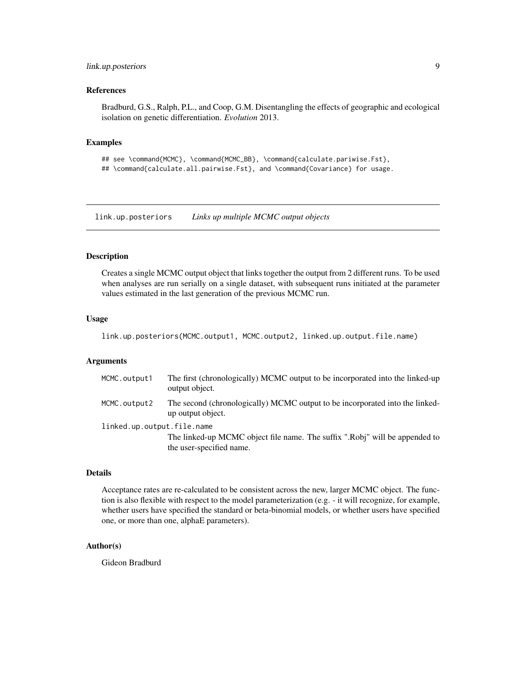# <span id="page-8-0"></span>link.up.posteriors 9

# References

Bradburd, G.S., Ralph, P.L., and Coop, G.M. Disentangling the effects of geographic and ecological isolation on genetic differentiation. *Evolution* 2013.

#### Examples

## see \command{MCMC}, \command{MCMC\_BB}, \command{calculate.pariwise.Fst}, ## \command{calculate.all.pairwise.Fst}, and \command{Covariance} for usage.

link.up.posteriors *Links up multiple MCMC output objects*

#### **Description**

Creates a single MCMC output object that links together the output from 2 different runs. To be used when analyses are run serially on a single dataset, with subsequent runs initiated at the parameter values estimated in the last generation of the previous MCMC run.

#### Usage

link.up.posteriors(MCMC.output1, MCMC.output2, linked.up.output.file.name)

# **Arguments**

| MCMC.output1               | The first (chronologically) MCMC output to be incorporated into the linked-up<br>output object.         |
|----------------------------|---------------------------------------------------------------------------------------------------------|
| MCMC.output2               | The second (chronologically) MCMC output to be incorporated into the linked-<br>up output object.       |
| linked.up.output.file.name | The linked-up MCMC object file name. The suffix ".Robj" will be appended to<br>the user-specified name. |
|                            |                                                                                                         |

# Details

Acceptance rates are re-calculated to be consistent across the new, larger MCMC object. The function is also flexible with respect to the model parameterization (e.g. - it will recognize, for example, whether users have specified the standard or beta-binomial models, or whether users have specified one, or more than one, alphaE parameters).

#### Author(s)

Gideon Bradburd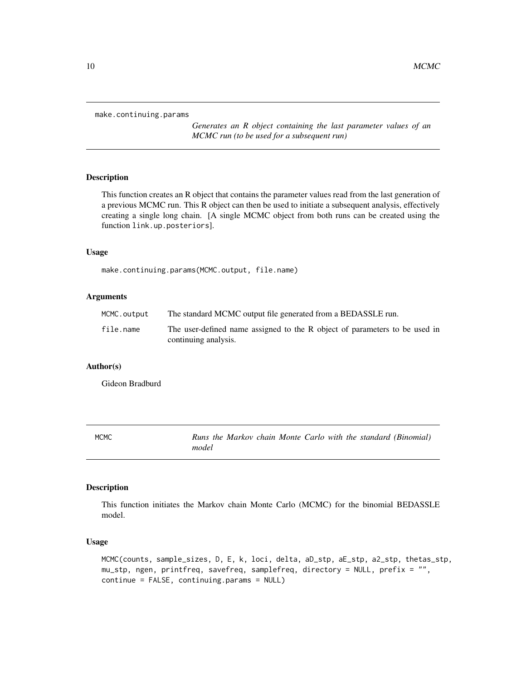```
make.continuing.params
```
*Generates an R object containing the last parameter values of an MCMC run (to be used for a subsequent run)*

# Description

This function creates an R object that contains the parameter values read from the last generation of a previous MCMC run. This R object can then be used to initiate a subsequent analysis, effectively creating a single long chain. [A single MCMC object from both runs can be created using the function link.up.posteriors].

### Usage

make.continuing.params(MCMC.output, file.name)

# Arguments

| MCMC.output | The standard MCMC output file generated from a BEDASSLE run.                                       |  |
|-------------|----------------------------------------------------------------------------------------------------|--|
| file.name   | The user-defined name assigned to the R object of parameters to be used in<br>continuing analysis. |  |

# Author(s)

Gideon Bradburd

MCMC *Runs the Markov chain Monte Carlo with the standard (Binomial) model*

#### Description

This function initiates the Markov chain Monte Carlo (MCMC) for the binomial BEDASSLE model.

# Usage

MCMC(counts, sample\_sizes, D, E, k, loci, delta, aD\_stp, aE\_stp, a2\_stp, thetas\_stp, mu\_stp, ngen, printfreq, savefreq, samplefreq, directory = NULL, prefix = "", continue = FALSE, continuing.params = NULL)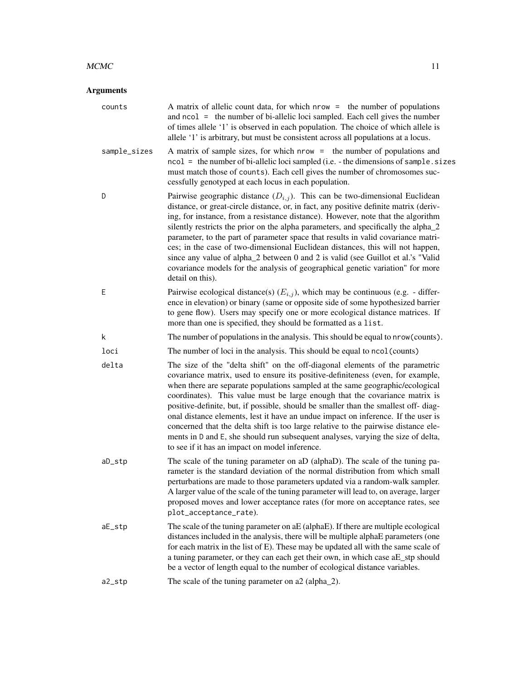# $MCMC$  11

| counts       | A matrix of allelic count data, for which nrow = the number of populations<br>and ncol = the number of bi-allelic loci sampled. Each cell gives the number<br>of times allele '1' is observed in each population. The choice of which allele is<br>allele '1' is arbitrary, but must be consistent across all populations at a locus.                                                                                                                                                                                                                                                                                                                                                                                                  |  |
|--------------|----------------------------------------------------------------------------------------------------------------------------------------------------------------------------------------------------------------------------------------------------------------------------------------------------------------------------------------------------------------------------------------------------------------------------------------------------------------------------------------------------------------------------------------------------------------------------------------------------------------------------------------------------------------------------------------------------------------------------------------|--|
| sample_sizes | A matrix of sample sizes, for which nrow = the number of populations and<br>ncol = the number of bi-allelic loci sampled (i.e. - the dimensions of sample. sizes<br>must match those of counts). Each cell gives the number of chromosomes suc-<br>cessfully genotyped at each locus in each population.                                                                                                                                                                                                                                                                                                                                                                                                                               |  |
| D            | Pairwise geographic distance $(D_{i,j})$ . This can be two-dimensional Euclidean<br>distance, or great-circle distance, or, in fact, any positive definite matrix (deriv-<br>ing, for instance, from a resistance distance). However, note that the algorithm<br>silently restricts the prior on the alpha parameters, and specifically the alpha_2<br>parameter, to the part of parameter space that results in valid covariance matri-<br>ces; in the case of two-dimensional Euclidean distances, this will not happen,<br>since any value of alpha_2 between 0 and 2 is valid (see Guillot et al.'s "Valid<br>covariance models for the analysis of geographical genetic variation" for more<br>detail on this).                   |  |
| E            | Pairwise ecological distance(s) $(E_{i,j})$ , which may be continuous (e.g. - differ-<br>ence in elevation) or binary (same or opposite side of some hypothesized barrier<br>to gene flow). Users may specify one or more ecological distance matrices. If<br>more than one is specified, they should be formatted as a list.                                                                                                                                                                                                                                                                                                                                                                                                          |  |
| k            | The number of populations in the analysis. This should be equal to nrow (counts).                                                                                                                                                                                                                                                                                                                                                                                                                                                                                                                                                                                                                                                      |  |
| loci         | The number of loci in the analysis. This should be equal to ncol (counts)                                                                                                                                                                                                                                                                                                                                                                                                                                                                                                                                                                                                                                                              |  |
| delta        | The size of the "delta shift" on the off-diagonal elements of the parametric<br>covariance matrix, used to ensure its positive-definiteness (even, for example,<br>when there are separate populations sampled at the same geographic/ecological<br>coordinates). This value must be large enough that the covariance matrix is<br>positive-definite, but, if possible, should be smaller than the smallest off-diag-<br>onal distance elements, lest it have an undue impact on inference. If the user is<br>concerned that the delta shift is too large relative to the pairwise distance ele-<br>ments in D and E, she should run subsequent analyses, varying the size of delta,<br>to see if it has an impact on model inference. |  |
| aD_stp       | The scale of the tuning parameter on aD (alphaD). The scale of the tuning pa-<br>rameter is the standard deviation of the normal distribution from which small<br>perturbations are made to those parameters updated via a random-walk sampler.<br>A larger value of the scale of the tuning parameter will lead to, on average, larger<br>proposed moves and lower acceptance rates (for more on acceptance rates, see<br>plot_acceptance_rate).                                                                                                                                                                                                                                                                                      |  |
| aE_stp       | The scale of the tuning parameter on aE (alphaE). If there are multiple ecological<br>distances included in the analysis, there will be multiple alphaE parameters (one<br>for each matrix in the list of E). These may be updated all with the same scale of<br>a tuning parameter, or they can each get their own, in which case aE_stp should<br>be a vector of length equal to the number of ecological distance variables.                                                                                                                                                                                                                                                                                                        |  |
| a2_stp       | The scale of the tuning parameter on a2 (alpha_2).                                                                                                                                                                                                                                                                                                                                                                                                                                                                                                                                                                                                                                                                                     |  |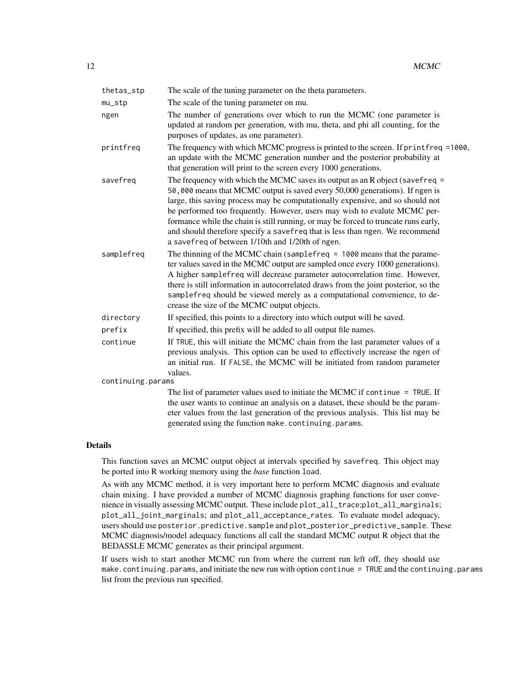| thetas_stp        | The scale of the tuning parameter on the theta parameters.                                                                                                                                                                                                                                                                                                                                                                                                                                                                                                 |  |
|-------------------|------------------------------------------------------------------------------------------------------------------------------------------------------------------------------------------------------------------------------------------------------------------------------------------------------------------------------------------------------------------------------------------------------------------------------------------------------------------------------------------------------------------------------------------------------------|--|
| $mu\_stp$         | The scale of the tuning parameter on mu.                                                                                                                                                                                                                                                                                                                                                                                                                                                                                                                   |  |
| ngen              | The number of generations over which to run the MCMC (one parameter is<br>updated at random per generation, with mu, theta, and phi all counting, for the<br>purposes of updates, as one parameter).                                                                                                                                                                                                                                                                                                                                                       |  |
| printfreq         | The frequency with which MCMC progress is printed to the screen. If printfreq =1000,<br>an update with the MCMC generation number and the posterior probability at<br>that generation will print to the screen every 1000 generations.                                                                                                                                                                                                                                                                                                                     |  |
| savefreq          | The frequency with which the MCMC saves its output as an R object (save freq $=$<br>50,000 means that MCMC output is saved every 50,000 generations). If ngen is<br>large, this saving process may be computationally expensive, and so should not<br>be performed too frequently. However, users may wish to evalute MCMC per-<br>formance while the chain is still running, or may be forced to truncate runs early,<br>and should therefore specify a savefreq that is less than ngen. We recommend<br>a savefreq of between 1/10th and 1/20th of ngen. |  |
| samplefreq        | The thinning of the MCMC chain (sample freq $= 1000$ means that the parame-<br>ter values saved in the MCMC output are sampled once every 1000 generations).<br>A higher samplefreq will decrease parameter autocorrelation time. However,<br>there is still information in autocorrelated draws from the joint posterior, so the<br>samplefreq should be viewed merely as a computational convenience, to de-<br>crease the size of the MCMC output objects.                                                                                              |  |
| directory         | If specified, this points to a directory into which output will be saved.                                                                                                                                                                                                                                                                                                                                                                                                                                                                                  |  |
| prefix            | If specified, this prefix will be added to all output file names.                                                                                                                                                                                                                                                                                                                                                                                                                                                                                          |  |
| continue          | If TRUE, this will initiate the MCMC chain from the last parameter values of a<br>previous analysis. This option can be used to effectively increase the ngen of<br>an initial run. If FALSE, the MCMC will be initiated from random parameter<br>values.                                                                                                                                                                                                                                                                                                  |  |
| continuing.params |                                                                                                                                                                                                                                                                                                                                                                                                                                                                                                                                                            |  |
|                   | The list of parameter values used to initiate the MCMC if continue $=$ TRUE. If<br>the user wants to continue an analysis on a dataset, these should be the param-<br>eter values from the last generation of the previous analysis. This list may be<br>generated using the function make.continuing.params.                                                                                                                                                                                                                                              |  |

This function saves an MCMC output object at intervals specified by savefreq. This object may be ported into R working memory using the *base* function load.

As with any MCMC method, it is very important here to perform MCMC diagnosis and evaluate chain mixing. I have provided a number of MCMC diagnosis graphing functions for user convenience in visually assessing MCMC output. These include plot\_all\_trace;plot\_all\_marginals; plot\_all\_joint\_marginals; and plot\_all\_acceptance\_rates. To evaluate model adequacy, users should use posterior.predictive.sample and plot\_posterior\_predictive\_sample. These MCMC diagnosis/model adequacy functions all call the standard MCMC output R object that the BEDASSLE MCMC generates as their principal argument.

If users wish to start another MCMC run from where the current run left off, they should use make.continuing.params, and initiate the new run with option continue = TRUE and the continuing.params list from the previous run specified.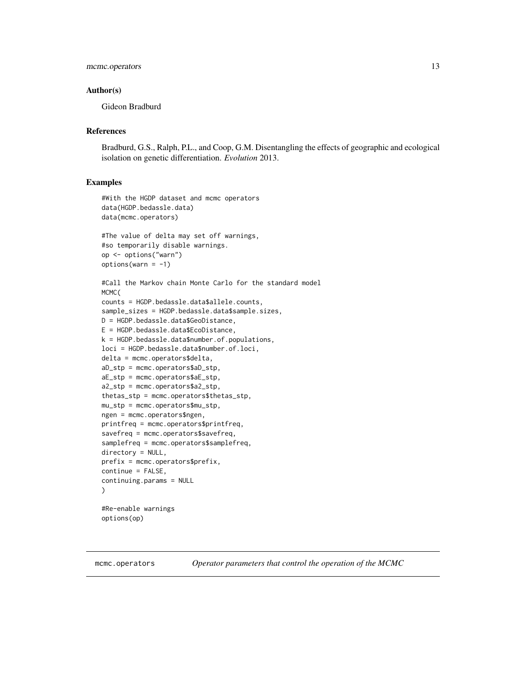# <span id="page-12-0"></span>mcmc.operators 13

# Author(s)

Gideon Bradburd

# References

Bradburd, G.S., Ralph, P.L., and Coop, G.M. Disentangling the effects of geographic and ecological isolation on genetic differentiation. *Evolution* 2013.

# Examples

```
#With the HGDP dataset and mcmc operators
data(HGDP.bedassle.data)
data(mcmc.operators)
```

```
#The value of delta may set off warnings,
#so temporarily disable warnings.
op <- options("warn")
options(varn = -1)
```

```
#Call the Markov chain Monte Carlo for the standard model
MCMC(
counts = HGDP.bedassle.data$allele.counts,
sample_sizes = HGDP.bedassle.data$sample.sizes,
D = HGDP.bedassle.data$GeoDistance,
E = HGDP.bedassle.data$EcoDistance,
k = HGDP.bedassle.data$number.of.populations,
loci = HGDP.bedassle.data$number.of.loci,
delta = mcmc.operators$delta,
aD_stp = mcmc.operators$aD_stp,
aE_stp = mcmc.operators$aE_stp,
a2_stp = mcmc.operators$a2_stp,
thetas_stp = mcmc.operators$thetas_stp,
mu_stp = mcmc.operators$mu_stp,
ngen = mcmc.operators$ngen,
printfreq = mcmc.operators$printfreq,
savefreq = mcmc.operators$savefreq,
samplefreq = mcmc.operators$samplefreq,
directory = NULL,
prefix = mcmc.operators$prefix,
continue = FALSE,
continuing.params = NULL
)
#Re-enable warnings
```

```
options(op)
```
mcmc.operators *Operator parameters that control the operation of the MCMC*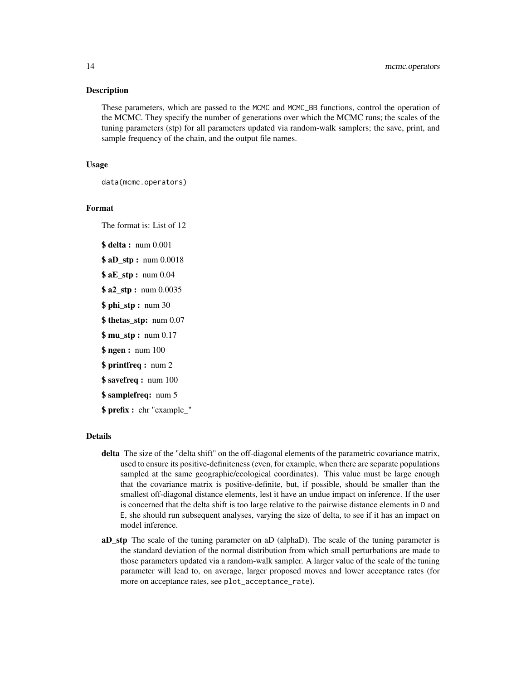#### Description

These parameters, which are passed to the MCMC and MCMC\_BB functions, control the operation of the MCMC. They specify the number of generations over which the MCMC runs; the scales of the tuning parameters (stp) for all parameters updated via random-walk samplers; the save, print, and sample frequency of the chain, and the output file names.

# Usage

data(mcmc.operators)

# Format

The format is: List of 12

\$ delta : num 0.001

```
$ aD_stp: num 0.0018
```
\$ **aE\_stp** : num 0.04

- \$ **a2** stp: num 0.0035
- \$ phi\_stp : num 30
- \$ thetas stp: num 0.07
- \$ mu\_stp : num 0.17
- \$ ngen : num 100
- \$ printfreq : num 2
- **\$ savefreq : num 100**

# \$ samplefreq: num 5

\$ prefix : chr "example\_"

# Details

- delta The size of the "delta shift" on the off-diagonal elements of the parametric covariance matrix, used to ensure its positive-definiteness (even, for example, when there are separate populations sampled at the same geographic/ecological coordinates). This value must be large enough that the covariance matrix is positive-definite, but, if possible, should be smaller than the smallest off-diagonal distance elements, lest it have an undue impact on inference. If the user is concerned that the delta shift is too large relative to the pairwise distance elements in D and E, she should run subsequent analyses, varying the size of delta, to see if it has an impact on model inference.
- aD\_stp The scale of the tuning parameter on aD (alphaD). The scale of the tuning parameter is the standard deviation of the normal distribution from which small perturbations are made to those parameters updated via a random-walk sampler. A larger value of the scale of the tuning parameter will lead to, on average, larger proposed moves and lower acceptance rates (for more on acceptance rates, see plot\_acceptance\_rate).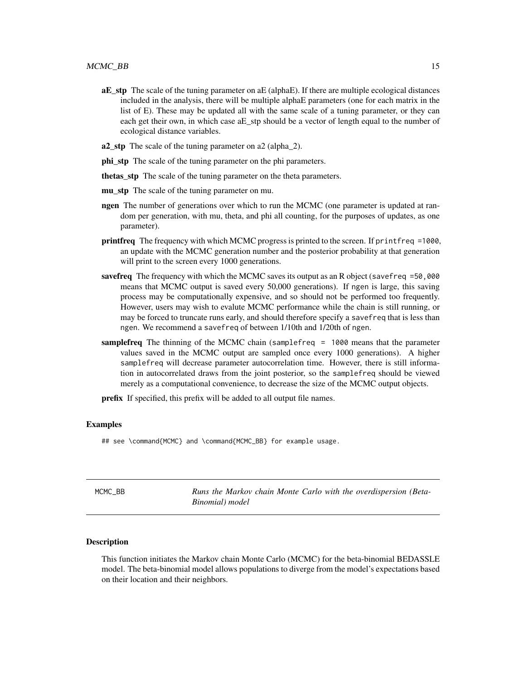- <span id="page-14-0"></span>aE\_stp The scale of the tuning parameter on aE (alphaE). If there are multiple ecological distances included in the analysis, there will be multiple alphaE parameters (one for each matrix in the list of E). These may be updated all with the same scale of a tuning parameter, or they can each get their own, in which case aE\_stp should be a vector of length equal to the number of ecological distance variables.
- a2\_stp The scale of the tuning parameter on a2 (alpha\_2).
- phi\_stp The scale of the tuning parameter on the phi parameters.
- thetas stp The scale of the tuning parameter on the theta parameters.
- mu stp The scale of the tuning parameter on mu.
- ngen The number of generations over which to run the MCMC (one parameter is updated at random per generation, with mu, theta, and phi all counting, for the purposes of updates, as one parameter).
- printfreq The frequency with which MCMC progress is printed to the screen. If printfreq =1000, an update with the MCMC generation number and the posterior probability at that generation will print to the screen every 1000 generations.
- **savefreq** The frequency with which the MCMC saves its output as an R object (savefreq  $=50,000$ ) means that MCMC output is saved every 50,000 generations). If ngen is large, this saving process may be computationally expensive, and so should not be performed too frequently. However, users may wish to evalute MCMC performance while the chain is still running, or may be forced to truncate runs early, and should therefore specify a savefreq that is less than ngen. We recommend a savefreq of between 1/10th and 1/20th of ngen.
- samplefreq The thinning of the MCMC chain (samplefreq = 1000 means that the parameter values saved in the MCMC output are sampled once every 1000 generations). A higher samplefreq will decrease parameter autocorrelation time. However, there is still information in autocorrelated draws from the joint posterior, so the samplefreq should be viewed merely as a computational convenience, to decrease the size of the MCMC output objects.

prefix If specified, this prefix will be added to all output file names.

# Examples

## see \command{MCMC} and \command{MCMC\_BB} for example usage.

| MCMC BB | Runs the Markov chain Monte Carlo with the overdispersion (Beta- |
|---------|------------------------------------------------------------------|
|         | Binomial) model                                                  |

#### Description

This function initiates the Markov chain Monte Carlo (MCMC) for the beta-binomial BEDASSLE model. The beta-binomial model allows populations to diverge from the model's expectations based on their location and their neighbors.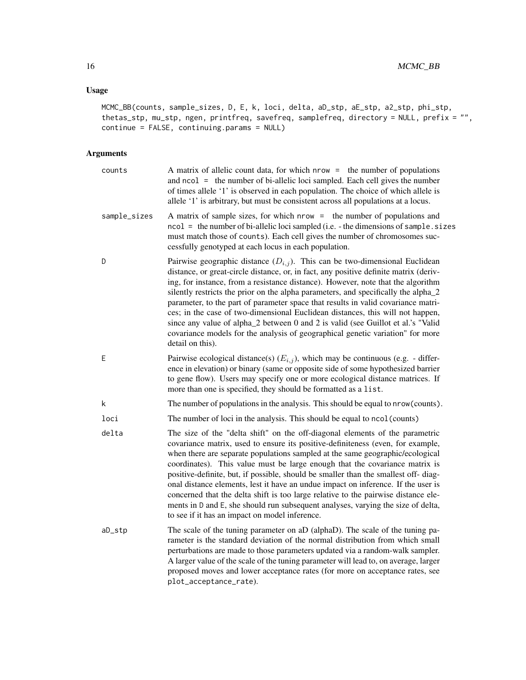# Usage

MCMC\_BB(counts, sample\_sizes, D, E, k, loci, delta, aD\_stp, aE\_stp, a2\_stp, phi\_stp, thetas\_stp, mu\_stp, ngen, printfreq, savefreq, samplefreq, directory = NULL, prefix = "", continue = FALSE, continuing.params = NULL)

| counts       | A matrix of allelic count data, for which nrow = the number of populations<br>and $ncol =$ the number of bi-allelic loci sampled. Each cell gives the number<br>of times allele '1' is observed in each population. The choice of which allele is<br>allele '1' is arbitrary, but must be consistent across all populations at a locus.                                                                                                                                                                                                                                                                                                                                                                                                |  |
|--------------|----------------------------------------------------------------------------------------------------------------------------------------------------------------------------------------------------------------------------------------------------------------------------------------------------------------------------------------------------------------------------------------------------------------------------------------------------------------------------------------------------------------------------------------------------------------------------------------------------------------------------------------------------------------------------------------------------------------------------------------|--|
| sample_sizes | A matrix of sample sizes, for which nrow = the number of populations and<br>ncol = the number of bi-allelic loci sampled (i.e. - the dimensions of sample. sizes<br>must match those of counts). Each cell gives the number of chromosomes suc-<br>cessfully genotyped at each locus in each population.                                                                                                                                                                                                                                                                                                                                                                                                                               |  |
| D            | Pairwise geographic distance $(D_{i,j})$ . This can be two-dimensional Euclidean<br>distance, or great-circle distance, or, in fact, any positive definite matrix (deriv-<br>ing, for instance, from a resistance distance). However, note that the algorithm<br>silently restricts the prior on the alpha parameters, and specifically the alpha_2<br>parameter, to the part of parameter space that results in valid covariance matri-<br>ces; in the case of two-dimensional Euclidean distances, this will not happen,<br>since any value of alpha_2 between 0 and 2 is valid (see Guillot et al.'s "Valid<br>covariance models for the analysis of geographical genetic variation" for more<br>detail on this).                   |  |
| E            | Pairwise ecological distance(s) $(E_{i,j})$ , which may be continuous (e.g. - differ-<br>ence in elevation) or binary (same or opposite side of some hypothesized barrier<br>to gene flow). Users may specify one or more ecological distance matrices. If<br>more than one is specified, they should be formatted as a list.                                                                                                                                                                                                                                                                                                                                                                                                          |  |
| k            | The number of populations in the analysis. This should be equal to nrow (counts).                                                                                                                                                                                                                                                                                                                                                                                                                                                                                                                                                                                                                                                      |  |
| loci         | The number of loci in the analysis. This should be equal to ncol (counts)                                                                                                                                                                                                                                                                                                                                                                                                                                                                                                                                                                                                                                                              |  |
| delta        | The size of the "delta shift" on the off-diagonal elements of the parametric<br>covariance matrix, used to ensure its positive-definiteness (even, for example,<br>when there are separate populations sampled at the same geographic/ecological<br>coordinates). This value must be large enough that the covariance matrix is<br>positive-definite, but, if possible, should be smaller than the smallest off-diag-<br>onal distance elements, lest it have an undue impact on inference. If the user is<br>concerned that the delta shift is too large relative to the pairwise distance ele-<br>ments in D and E, she should run subsequent analyses, varying the size of delta,<br>to see if it has an impact on model inference. |  |
| aD_stp       | The scale of the tuning parameter on aD (alphaD). The scale of the tuning pa-<br>rameter is the standard deviation of the normal distribution from which small<br>perturbations are made to those parameters updated via a random-walk sampler.<br>A larger value of the scale of the tuning parameter will lead to, on average, larger<br>proposed moves and lower acceptance rates (for more on acceptance rates, see<br>plot_acceptance_rate).                                                                                                                                                                                                                                                                                      |  |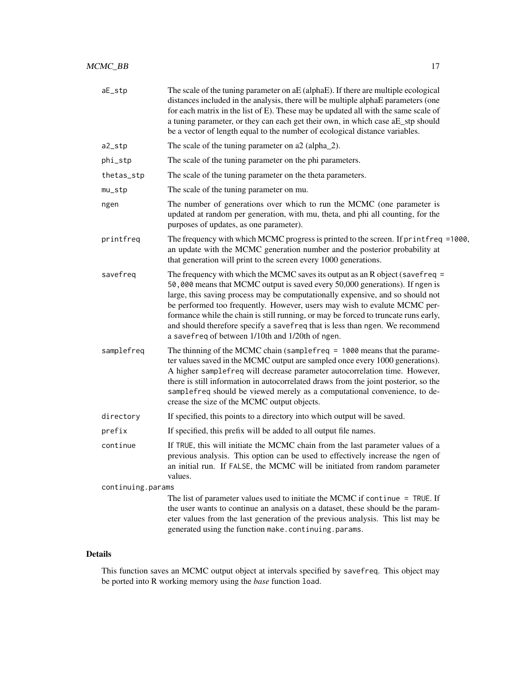| aE_stp            | The scale of the tuning parameter on aE (alphaE). If there are multiple ecological<br>distances included in the analysis, there will be multiple alphaE parameters (one<br>for each matrix in the list of E). These may be updated all with the same scale of<br>a tuning parameter, or they can each get their own, in which case aE_stp should<br>be a vector of length equal to the number of ecological distance variables.                                                                                                                           |
|-------------------|-----------------------------------------------------------------------------------------------------------------------------------------------------------------------------------------------------------------------------------------------------------------------------------------------------------------------------------------------------------------------------------------------------------------------------------------------------------------------------------------------------------------------------------------------------------|
| a2_stp            | The scale of the tuning parameter on a2 (alpha_2).                                                                                                                                                                                                                                                                                                                                                                                                                                                                                                        |
| phi_stp           | The scale of the tuning parameter on the phi parameters.                                                                                                                                                                                                                                                                                                                                                                                                                                                                                                  |
| thetas_stp        | The scale of the tuning parameter on the theta parameters.                                                                                                                                                                                                                                                                                                                                                                                                                                                                                                |
| $mu\_stp$         | The scale of the tuning parameter on mu.                                                                                                                                                                                                                                                                                                                                                                                                                                                                                                                  |
| ngen              | The number of generations over which to run the MCMC (one parameter is<br>updated at random per generation, with mu, theta, and phi all counting, for the<br>purposes of updates, as one parameter).                                                                                                                                                                                                                                                                                                                                                      |
| printfreq         | The frequency with which MCMC progress is printed to the screen. If printfreq =1000,<br>an update with the MCMC generation number and the posterior probability at<br>that generation will print to the screen every 1000 generations.                                                                                                                                                                                                                                                                                                                    |
| savefreg          | The frequency with which the MCMC saves its output as an R object (savefreq $=$<br>50,000 means that MCMC output is saved every 50,000 generations). If ngen is<br>large, this saving process may be computationally expensive, and so should not<br>be performed too frequently. However, users may wish to evalute MCMC per-<br>formance while the chain is still running, or may be forced to truncate runs early,<br>and should therefore specify a savefreq that is less than ngen. We recommend<br>a savefreq of between 1/10th and 1/20th of ngen. |
| samplefreq        | The thinning of the MCMC chain (sample freq $= 1000$ means that the parame-<br>ter values saved in the MCMC output are sampled once every 1000 generations).<br>A higher samplefreq will decrease parameter autocorrelation time. However,<br>there is still information in autocorrelated draws from the joint posterior, so the<br>samplefreq should be viewed merely as a computational convenience, to de-<br>crease the size of the MCMC output objects.                                                                                             |
| directory         | If specified, this points to a directory into which output will be saved.                                                                                                                                                                                                                                                                                                                                                                                                                                                                                 |
| prefix            | If specified, this prefix will be added to all output file names.                                                                                                                                                                                                                                                                                                                                                                                                                                                                                         |
| continue          | If TRUE, this will initiate the MCMC chain from the last parameter values of a<br>previous analysis. This option can be used to effectively increase the ngen of<br>an initial run. If FALSE, the MCMC will be initiated from random parameter<br>values.                                                                                                                                                                                                                                                                                                 |
| continuing.params |                                                                                                                                                                                                                                                                                                                                                                                                                                                                                                                                                           |
|                   | The list of parameter values used to initiate the MCMC if continue $=$ TRUE. If<br>the user wants to continue an analysis on a dataset, these should be the param-<br>eter values from the last generation of the previous analysis. This list may be                                                                                                                                                                                                                                                                                                     |

This function saves an MCMC output object at intervals specified by savefreq. This object may be ported into R working memory using the *base* function load.

generated using the function make.continuing.params.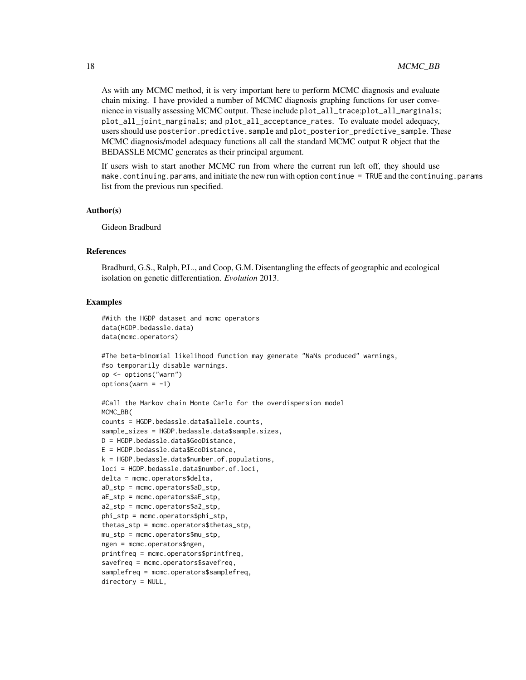As with any MCMC method, it is very important here to perform MCMC diagnosis and evaluate chain mixing. I have provided a number of MCMC diagnosis graphing functions for user convenience in visually assessing MCMC output. These include plot\_all\_trace;plot\_all\_marginals; plot\_all\_joint\_marginals; and plot\_all\_acceptance\_rates. To evaluate model adequacy, users should use posterior.predictive.sample and plot\_posterior\_predictive\_sample. These MCMC diagnosis/model adequacy functions all call the standard MCMC output R object that the BEDASSLE MCMC generates as their principal argument.

If users wish to start another MCMC run from where the current run left off, they should use make.continuing.params, and initiate the new run with option continue = TRUE and the continuing.params list from the previous run specified.

#### Author(s)

Gideon Bradburd

#### References

Bradburd, G.S., Ralph, P.L., and Coop, G.M. Disentangling the effects of geographic and ecological isolation on genetic differentiation. *Evolution* 2013.

# Examples

```
#With the HGDP dataset and mcmc operators
data(HGDP.bedassle.data)
data(mcmc.operators)
```

```
#The beta-binomial likelihood function may generate "NaNs produced" warnings,
#so temporarily disable warnings.
op <- options("warn")
options(varn = -1)
```

```
#Call the Markov chain Monte Carlo for the overdispersion model
MCMC_BB(
counts = HGDP.bedassle.data$allele.counts,
sample_sizes = HGDP.bedassle.data$sample.sizes,
D = HGDP.bedassle.data$GeoDistance,
E = HGDP.bedassle.data$EcoDistance,
k = HGDP.bedassle.datatanumber.of.populations,
loci = HGDP.bedassle.data$number.of.loci,
delta = mcmc.operators$delta,
aD_stp = mcmc.operators$aD_stp,
aE_stp = mcmc.operators$aE_stp,
a2_stp = mcmc.operators$a2_stp,
phi_stp = mcmc.operators$phi_stp,
thetas_stp = mcmc.operators$thetas_stp,
mu_stp = mcmc.operators$mu_stp,
ngen = mcmc.operators$ngen,
printfreq = mcmc.operators$printfreq,
savefreq = mcmc.operators$savefreq,
samplefreq = mcmc.operators$samplefreq,
directory = NULL,
```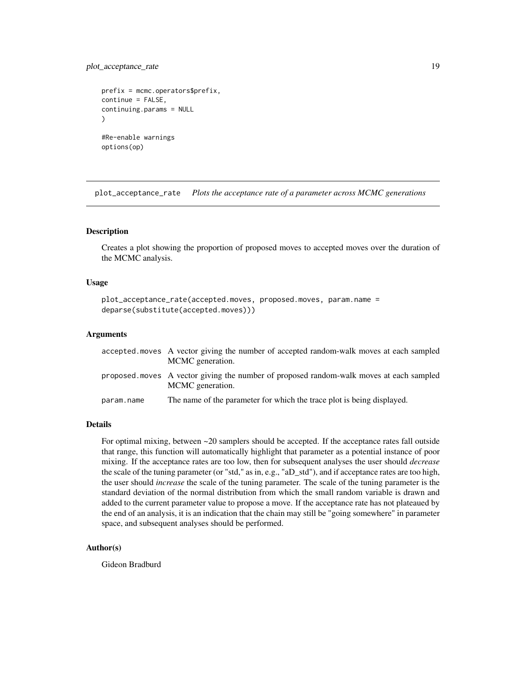# <span id="page-18-0"></span>plot\_acceptance\_rate 19

```
prefix = mcmc.operators$prefix,
continue = FALSE,
continuing.params = NULL
\lambda#Re-enable warnings
options(op)
```
plot\_acceptance\_rate *Plots the acceptance rate of a parameter across MCMC generations*

# Description

Creates a plot showing the proportion of proposed moves to accepted moves over the duration of the MCMC analysis.

#### Usage

```
plot_acceptance_rate(accepted.moves, proposed.moves, param.name =
deparse(substitute(accepted.moves)))
```
# Arguments

|            | accepted moves A vector giving the number of accepted random-walk moves at each sampled<br>MCMC generation. |
|------------|-------------------------------------------------------------------------------------------------------------|
|            | proposed moves A vector giving the number of proposed random-walk moves at each sampled<br>MCMC generation. |
| param.name | The name of the parameter for which the trace plot is being displayed.                                      |

# Details

For optimal mixing, between ~20 samplers should be accepted. If the acceptance rates fall outside that range, this function will automatically highlight that parameter as a potential instance of poor mixing. If the acceptance rates are too low, then for subsequent analyses the user should *decrease* the scale of the tuning parameter (or "std," as in, e.g., "aD\_std"), and if acceptance rates are too high, the user should *increase* the scale of the tuning parameter. The scale of the tuning parameter is the standard deviation of the normal distribution from which the small random variable is drawn and added to the current parameter value to propose a move. If the acceptance rate has not plateaued by the end of an analysis, it is an indication that the chain may still be "going somewhere" in parameter space, and subsequent analyses should be performed.

# Author(s)

Gideon Bradburd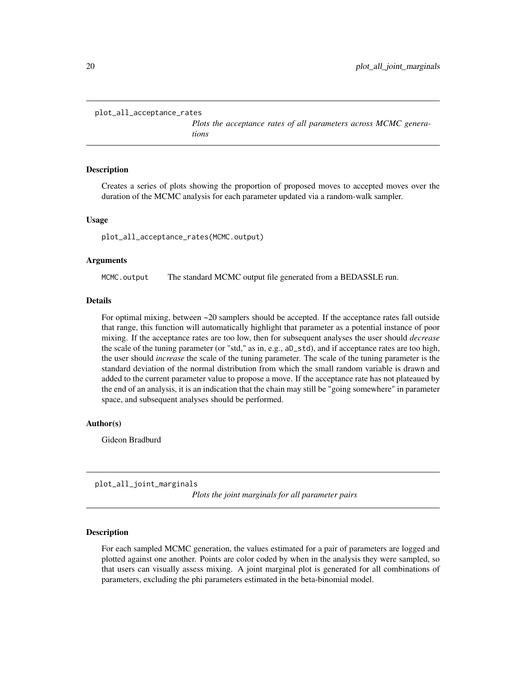```
plot_all_acceptance_rates
```
*Plots the acceptance rates of all parameters across MCMC generations*

#### Description

Creates a series of plots showing the proportion of proposed moves to accepted moves over the duration of the MCMC analysis for each parameter updated via a random-walk sampler.

# Usage

plot\_all\_acceptance\_rates(MCMC.output)

# Arguments

MCMC.output The standard MCMC output file generated from a BEDASSLE run.

# Details

For optimal mixing, between  $\sim$  20 samplers should be accepted. If the acceptance rates fall outside that range, this function will automatically highlight that parameter as a potential instance of poor mixing. If the acceptance rates are too low, then for subsequent analyses the user should *decrease* the scale of the tuning parameter (or "std," as in, e.g., aD\_std), and if acceptance rates are too high, the user should *increase* the scale of the tuning parameter. The scale of the tuning parameter is the standard deviation of the normal distribution from which the small random variable is drawn and added to the current parameter value to propose a move. If the acceptance rate has not plateaued by the end of an analysis, it is an indication that the chain may still be "going somewhere" in parameter space, and subsequent analyses should be performed.

# Author(s)

Gideon Bradburd

plot\_all\_joint\_marginals

*Plots the joint marginals for all parameter pairs*

# Description

For each sampled MCMC generation, the values estimated for a pair of parameters are logged and plotted against one another. Points are color coded by when in the analysis they were sampled, so that users can visually assess mixing. A joint marginal plot is generated for all combinations of parameters, excluding the phi parameters estimated in the beta-binomial model.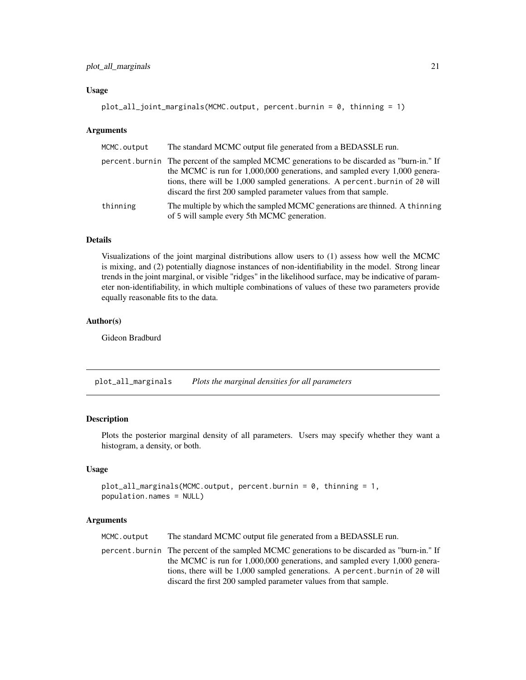# <span id="page-20-0"></span>Usage

```
plot_all_joint_marginals(MCMC.output, percent.burnin = 0, thinning = 1)
```
#### Arguments

| MCMC.output | The standard MCMC output file generated from a BEDASSLE run.                                                                                                                                                                                                                                                                  |
|-------------|-------------------------------------------------------------------------------------------------------------------------------------------------------------------------------------------------------------------------------------------------------------------------------------------------------------------------------|
|             | percent, burnin The percent of the sampled MCMC generations to be discarded as "burn-in." If<br>the MCMC is run for 1,000,000 generations, and sampled every 1,000 genera-<br>tions, there will be 1,000 sampled generations. A percent burnin of 20 will<br>discard the first 200 sampled parameter values from that sample. |
| thinning    | The multiple by which the sampled MCMC generations are thinned. A thinning<br>of 5 will sample every 5th MCMC generation.                                                                                                                                                                                                     |

#### Details

Visualizations of the joint marginal distributions allow users to (1) assess how well the MCMC is mixing, and (2) potentially diagnose instances of non-identifiability in the model. Strong linear trends in the joint marginal, or visible "ridges" in the likelihood surface, may be indicative of parameter non-identifiability, in which multiple combinations of values of these two parameters provide equally reasonable fits to the data.

### Author(s)

Gideon Bradburd

plot\_all\_marginals *Plots the marginal densities for all parameters*

# Description

Plots the posterior marginal density of all parameters. Users may specify whether they want a histogram, a density, or both.

# Usage

```
plot_all_marginals(MCMC.output, percent.burnin = 0, thinning = 1,
population.names = NULL)
```
# Arguments

MCMC.output The standard MCMC output file generated from a BEDASSLE run.

percent.burnin The percent of the sampled MCMC generations to be discarded as "burn-in." If the MCMC is run for 1,000,000 generations, and sampled every 1,000 generations, there will be 1,000 sampled generations. A percent.burnin of 20 will discard the first 200 sampled parameter values from that sample.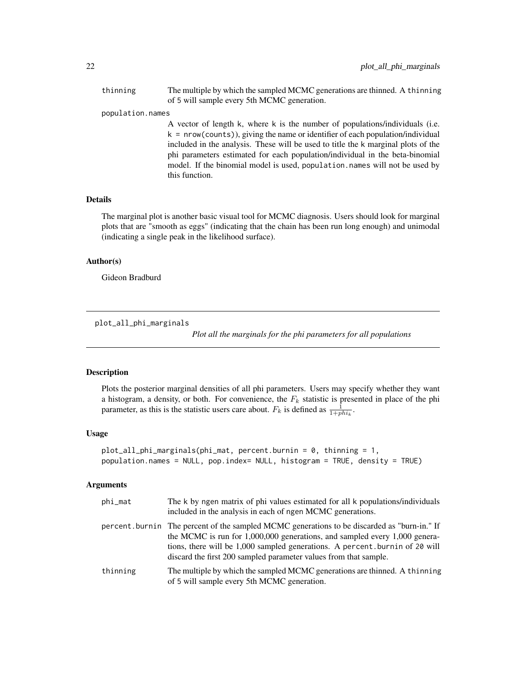<span id="page-21-0"></span>thinning The multiple by which the sampled MCMC generations are thinned. A thinning of 5 will sample every 5th MCMC generation.

#### population.names

A vector of length k, where k is the number of populations/individuals (i.e.  $k = nrow(counts)$ , giving the name or identifier of each population/individual included in the analysis. These will be used to title the k marginal plots of the phi parameters estimated for each population/individual in the beta-binomial model. If the binomial model is used, population.names will not be used by this function.

# Details

The marginal plot is another basic visual tool for MCMC diagnosis. Users should look for marginal plots that are "smooth as eggs" (indicating that the chain has been run long enough) and unimodal (indicating a single peak in the likelihood surface).

# Author(s)

Gideon Bradburd

plot\_all\_phi\_marginals

*Plot all the marginals for the phi parameters for all populations*

# **Description**

Plots the posterior marginal densities of all phi parameters. Users may specify whether they want a histogram, a density, or both. For convenience, the  $F_k$  statistic is presented in place of the phi parameter, as this is the statistic users care about.  $F_k$  is defined as  $\frac{1}{1 + phi_k}$ .

#### Usage

```
plot_all_phi_marginals(phi_mat, percent.burnin = 0, thinning = 1,
population.names = NULL, pop.index= NULL, histogram = TRUE, density = TRUE)
```

| phi_mat  | The k by ngen matrix of phi values estimated for all k populations/individuals<br>included in the analysis in each of ngen MCMC generations.                                                                                                                                                                                      |
|----------|-----------------------------------------------------------------------------------------------------------------------------------------------------------------------------------------------------------------------------------------------------------------------------------------------------------------------------------|
|          | percent. burnin The percent of the sampled MCMC generations to be discarded as "burn-in." If<br>the MCMC is run for $1,000,000$ generations, and sampled every $1,000$ genera-<br>tions, there will be 1,000 sampled generations. A percent burnin of 20 will<br>discard the first 200 sampled parameter values from that sample. |
| thinning | The multiple by which the sampled MCMC generations are thinned. A thinning<br>of 5 will sample every 5th MCMC generation.                                                                                                                                                                                                         |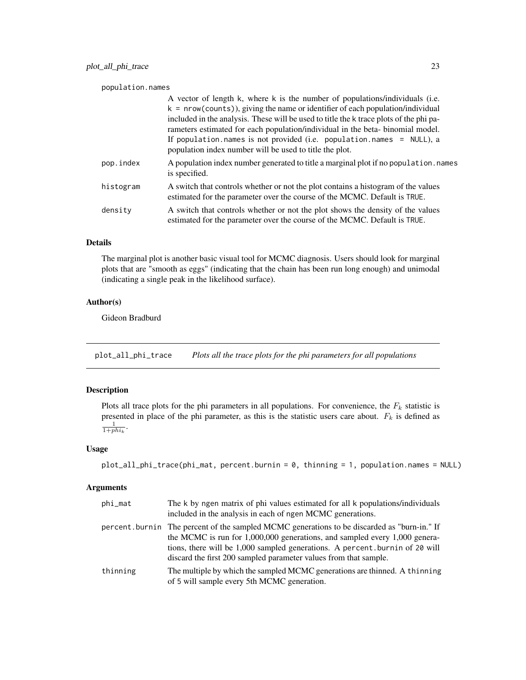#### <span id="page-22-0"></span>population.names

|           | A vector of length k, where k is the number of populations/individuals (i.e.                                                                                   |
|-----------|----------------------------------------------------------------------------------------------------------------------------------------------------------------|
|           | $k = nrow(counts)$ , giving the name or identifier of each population/individual                                                                               |
|           | included in the analysis. These will be used to title the k trace plots of the phi pa-                                                                         |
|           | rameters estimated for each population/individual in the beta-binomial model.                                                                                  |
|           | If population.names is not provided (i.e. population.names = NULL), a<br>population index number will be used to title the plot.                               |
| pop.index | A population index number generated to title a marginal plot if no population. names<br>is specified.                                                          |
| histogram | A switch that controls whether or not the plot contains a histogram of the values<br>estimated for the parameter over the course of the MCMC. Default is TRUE. |
| density   | A switch that controls whether or not the plot shows the density of the values<br>estimated for the parameter over the course of the MCMC. Default is TRUE.    |

# Details

The marginal plot is another basic visual tool for MCMC diagnosis. Users should look for marginal plots that are "smooth as eggs" (indicating that the chain has been run long enough) and unimodal (indicating a single peak in the likelihood surface).

# Author(s)

Gideon Bradburd

plot\_all\_phi\_trace *Plots all the trace plots for the phi parameters for all populations*

# Description

Plots all trace plots for the phi parameters in all populations. For convenience, the  $F_k$  statistic is presented in place of the phi parameter, as this is the statistic users care about.  $F_k$  is defined as  $\frac{1}{1 + phi_k}$ .

# Usage

```
plot_all_phi_trace(phi_mat, percent.burnin = 0, thinning = 1, population.names = NULL)
```

| phi_mat  | The k by ngen matrix of phi values estimated for all k populations/individuals<br>included in the analysis in each of ngen MCMC generations.                                                                                                                                                                                  |
|----------|-------------------------------------------------------------------------------------------------------------------------------------------------------------------------------------------------------------------------------------------------------------------------------------------------------------------------------|
|          | percent. burnin The percent of the sampled MCMC generations to be discarded as "burn-in." If<br>the MCMC is run for 1,000,000 generations, and sampled every 1,000 genera-<br>tions, there will be 1,000 sampled generations. A percent burnin of 20 will<br>discard the first 200 sampled parameter values from that sample. |
| thinning | The multiple by which the sampled MCMC generations are thinned. A thinning<br>of 5 will sample every 5th MCMC generation.                                                                                                                                                                                                     |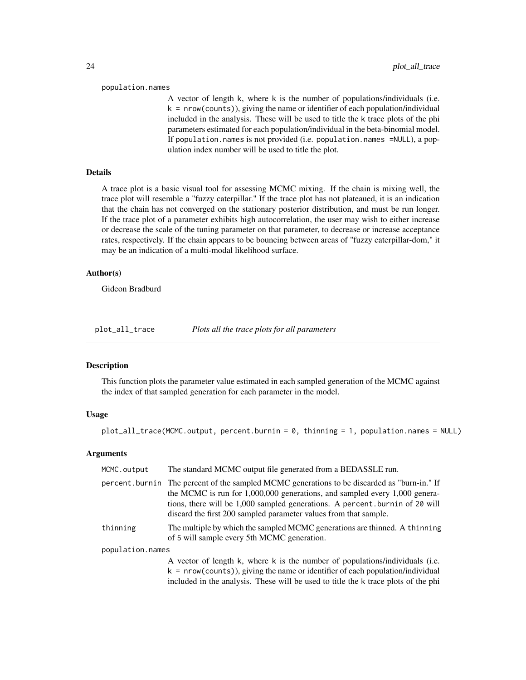#### <span id="page-23-0"></span>population.names

A vector of length k, where k is the number of populations/individuals (i.e. k = nrow(counts)), giving the name or identifier of each population/individual included in the analysis. These will be used to title the k trace plots of the phi parameters estimated for each population/individual in the beta-binomial model. If population.names is not provided (i.e. population.names =NULL), a population index number will be used to title the plot.

# Details

A trace plot is a basic visual tool for assessing MCMC mixing. If the chain is mixing well, the trace plot will resemble a "fuzzy caterpillar." If the trace plot has not plateaued, it is an indication that the chain has not converged on the stationary posterior distribution, and must be run longer. If the trace plot of a parameter exhibits high autocorrelation, the user may wish to either increase or decrease the scale of the tuning parameter on that parameter, to decrease or increase acceptance rates, respectively. If the chain appears to be bouncing between areas of "fuzzy caterpillar-dom," it may be an indication of a multi-modal likelihood surface.

# Author(s)

Gideon Bradburd

plot\_all\_trace *Plots all the trace plots for all parameters*

# Description

This function plots the parameter value estimated in each sampled generation of the MCMC against the index of that sampled generation for each parameter in the model.

# Usage

plot\_all\_trace(MCMC.output, percent.burnin = 0, thinning = 1, population.names = NULL)

| MCMC.output      | The standard MCMC output file generated from a BEDASSLE run.                                                                                                                                                                                                                                                                  |
|------------------|-------------------------------------------------------------------------------------------------------------------------------------------------------------------------------------------------------------------------------------------------------------------------------------------------------------------------------|
|                  | percent. burnin The percent of the sampled MCMC generations to be discarded as "burn-in." If<br>the MCMC is run for 1,000,000 generations, and sampled every 1,000 genera-<br>tions, there will be 1,000 sampled generations. A percent burnin of 20 will<br>discard the first 200 sampled parameter values from that sample. |
| thinning         | The multiple by which the sampled MCMC generations are thinned. A thinning<br>of 5 will sample every 5th MCMC generation.                                                                                                                                                                                                     |
| population.names |                                                                                                                                                                                                                                                                                                                               |
|                  | A vector of length k, where k is the number of populations/individuals (i.e.<br>$k = nrow(counts)$ , giving the name or identifier of each population/individual<br>included in the analysis. These will be used to title the k trace plots of the phi                                                                        |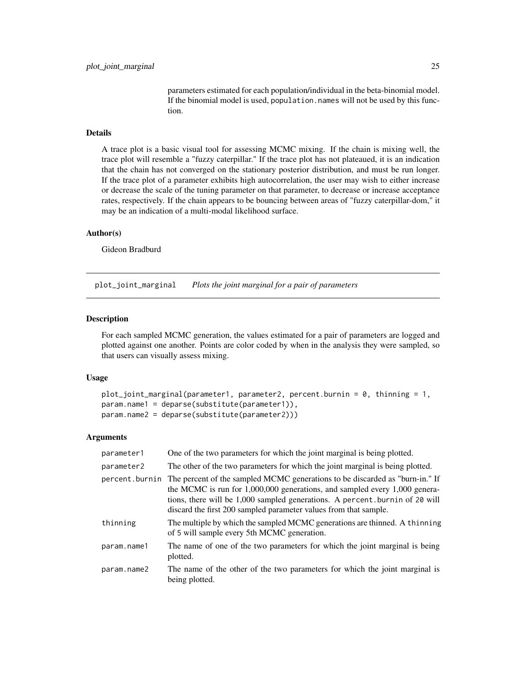parameters estimated for each population/individual in the beta-binomial model. If the binomial model is used, population.names will not be used by this function.

# <span id="page-24-0"></span>Details

A trace plot is a basic visual tool for assessing MCMC mixing. If the chain is mixing well, the trace plot will resemble a "fuzzy caterpillar." If the trace plot has not plateaued, it is an indication that the chain has not converged on the stationary posterior distribution, and must be run longer. If the trace plot of a parameter exhibits high autocorrelation, the user may wish to either increase or decrease the scale of the tuning parameter on that parameter, to decrease or increase acceptance rates, respectively. If the chain appears to be bouncing between areas of "fuzzy caterpillar-dom," it may be an indication of a multi-modal likelihood surface.

#### Author(s)

Gideon Bradburd

plot\_joint\_marginal *Plots the joint marginal for a pair of parameters*

#### Description

For each sampled MCMC generation, the values estimated for a pair of parameters are logged and plotted against one another. Points are color coded by when in the analysis they were sampled, so that users can visually assess mixing.

#### Usage

```
plot_joint_marginal(parameter1, parameter2, percent.burnin = 0, thinning = 1,
param.name1 = deparse(substitute(parameter1)),
param.name2 = deparse(substitute(parameter2)))
```

| parameter1     | One of the two parameters for which the joint marginal is being plotted.                                                                                                                                                                                                                                          |
|----------------|-------------------------------------------------------------------------------------------------------------------------------------------------------------------------------------------------------------------------------------------------------------------------------------------------------------------|
| parameter2     | The other of the two parameters for which the joint marginal is being plotted.                                                                                                                                                                                                                                    |
| percent.burnin | The percent of the sampled MCMC generations to be discarded as "burn-in." If<br>the MCMC is run for $1,000,000$ generations, and sampled every $1,000$ genera-<br>tions, there will be 1,000 sampled generations. A percent burnin of 20 will<br>discard the first 200 sampled parameter values from that sample. |
| thinning       | The multiple by which the sampled MCMC generations are thinned. A thinning<br>of 5 will sample every 5th MCMC generation.                                                                                                                                                                                         |
| param.name1    | The name of one of the two parameters for which the joint marginal is being<br>plotted.                                                                                                                                                                                                                           |
| param.name2    | The name of the other of the two parameters for which the joint marginal is<br>being plotted.                                                                                                                                                                                                                     |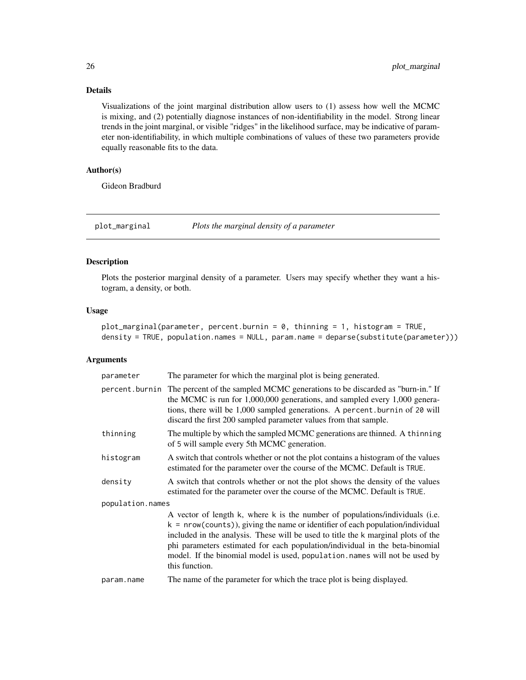<span id="page-25-0"></span>Visualizations of the joint marginal distribution allow users to (1) assess how well the MCMC is mixing, and (2) potentially diagnose instances of non-identifiability in the model. Strong linear trends in the joint marginal, or visible "ridges" in the likelihood surface, may be indicative of parameter non-identifiability, in which multiple combinations of values of these two parameters provide equally reasonable fits to the data.

# Author(s)

Gideon Bradburd

plot\_marginal *Plots the marginal density of a parameter*

# Description

Plots the posterior marginal density of a parameter. Users may specify whether they want a histogram, a density, or both.

# Usage

plot\_marginal(parameter, percent.burnin = 0, thinning = 1, histogram = TRUE, density = TRUE, population.names = NULL, param.name = deparse(substitute(parameter)))

| parameter        | The parameter for which the marginal plot is being generated.                                                                                                                                                                                                                                                                                                                                                                        |
|------------------|--------------------------------------------------------------------------------------------------------------------------------------------------------------------------------------------------------------------------------------------------------------------------------------------------------------------------------------------------------------------------------------------------------------------------------------|
|                  | percent. burnin The percent of the sampled MCMC generations to be discarded as "burn-in." If<br>the MCMC is run for 1,000,000 generations, and sampled every 1,000 genera-<br>tions, there will be 1,000 sampled generations. A percent burnin of 20 will<br>discard the first 200 sampled parameter values from that sample.                                                                                                        |
| thinning         | The multiple by which the sampled MCMC generations are thinned. A thinning<br>of 5 will sample every 5th MCMC generation.                                                                                                                                                                                                                                                                                                            |
| histogram        | A switch that controls whether or not the plot contains a histogram of the values<br>estimated for the parameter over the course of the MCMC. Default is TRUE.                                                                                                                                                                                                                                                                       |
| density          | A switch that controls whether or not the plot shows the density of the values<br>estimated for the parameter over the course of the MCMC. Default is TRUE.                                                                                                                                                                                                                                                                          |
| population.names |                                                                                                                                                                                                                                                                                                                                                                                                                                      |
|                  | A vector of length k, where k is the number of populations/individuals (i.e.<br>$k = new(counts)$ , giving the name or identifier of each population/individual<br>included in the analysis. These will be used to title the k marginal plots of the<br>phi parameters estimated for each population/individual in the beta-binomial<br>model. If the binomial model is used, population.names will not be used by<br>this function. |
| param.name       | The name of the parameter for which the trace plot is being displayed.                                                                                                                                                                                                                                                                                                                                                               |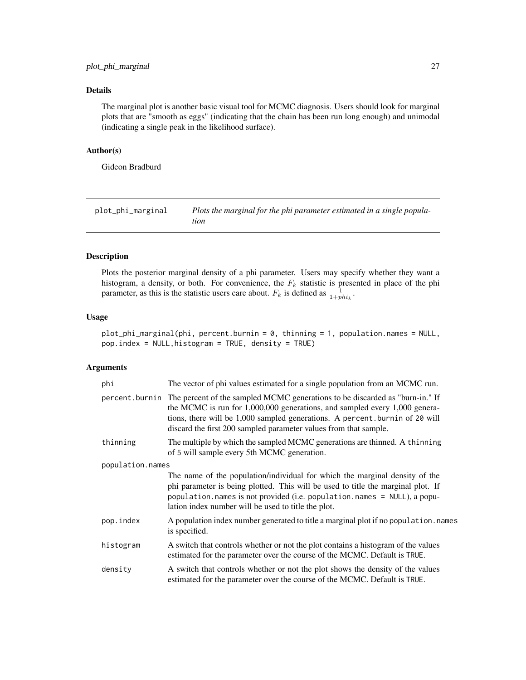<span id="page-26-0"></span>The marginal plot is another basic visual tool for MCMC diagnosis. Users should look for marginal plots that are "smooth as eggs" (indicating that the chain has been run long enough) and unimodal (indicating a single peak in the likelihood surface).

# Author(s)

Gideon Bradburd

plot\_phi\_marginal *Plots the marginal for the phi parameter estimated in a single population*

#### Description

Plots the posterior marginal density of a phi parameter. Users may specify whether they want a histogram, a density, or both. For convenience, the  $F_k$  statistic is presented in place of the phi parameter, as this is the statistic users care about.  $F_k$  is defined as  $\frac{1}{1 + phi_k}$ .

# Usage

plot\_phi\_marginal(phi, percent.burnin = 0, thinning = 1, population.names = NULL, pop.index = NULL,histogram = TRUE, density = TRUE)

| phi              | The vector of phi values estimated for a single population from an MCMC run.                                                                                                                                                                                                                                                      |  |
|------------------|-----------------------------------------------------------------------------------------------------------------------------------------------------------------------------------------------------------------------------------------------------------------------------------------------------------------------------------|--|
|                  | percent. burnin The percent of the sampled MCMC generations to be discarded as "burn-in." If<br>the MCMC is run for $1,000,000$ generations, and sampled every $1,000$ genera-<br>tions, there will be 1,000 sampled generations. A percent burnin of 20 will<br>discard the first 200 sampled parameter values from that sample. |  |
| thinning         | The multiple by which the sampled MCMC generations are thinned. A thinning<br>of 5 will sample every 5th MCMC generation.                                                                                                                                                                                                         |  |
| population.names |                                                                                                                                                                                                                                                                                                                                   |  |
|                  | The name of the population/individual for which the marginal density of the<br>phi parameter is being plotted. This will be used to title the marginal plot. If<br>population.names is not provided (i.e. population.names = NULL), a popu-<br>lation index number will be used to title the plot.                                |  |
| pop.index        | A population index number generated to title a marginal plot if no population. names<br>is specified.                                                                                                                                                                                                                             |  |
| histogram        | A switch that controls whether or not the plot contains a histogram of the values<br>estimated for the parameter over the course of the MCMC. Default is TRUE.                                                                                                                                                                    |  |
| density          | A switch that controls whether or not the plot shows the density of the values<br>estimated for the parameter over the course of the MCMC. Default is TRUE.                                                                                                                                                                       |  |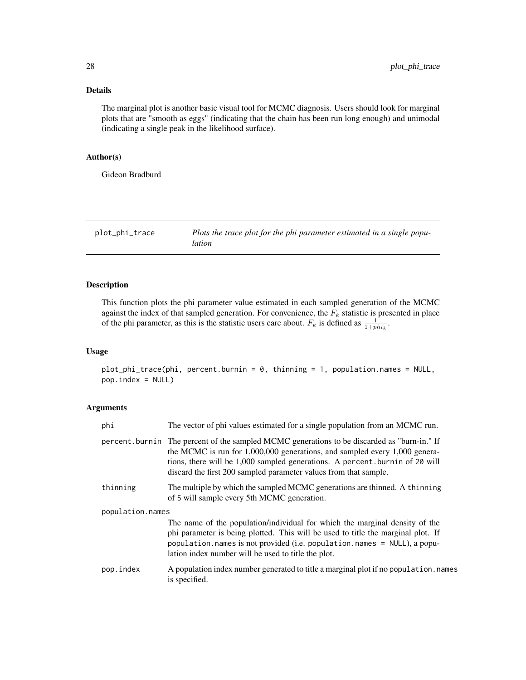<span id="page-27-0"></span>The marginal plot is another basic visual tool for MCMC diagnosis. Users should look for marginal plots that are "smooth as eggs" (indicating that the chain has been run long enough) and unimodal (indicating a single peak in the likelihood surface).

# Author(s)

Gideon Bradburd

plot\_phi\_trace *Plots the trace plot for the phi parameter estimated in a single population*

# Description

This function plots the phi parameter value estimated in each sampled generation of the MCMC against the index of that sampled generation. For convenience, the  $F_k$  statistic is presented in place of the phi parameter, as this is the statistic users care about.  $F_k$  is defined as  $\frac{1}{1 + phi_k}$ .

#### Usage

plot\_phi\_trace(phi, percent.burnin = 0, thinning = 1, population.names = NULL, pop.index = NULL)

| phi              | The vector of phi values estimated for a single population from an MCMC run.                                                                                                                                                                                                                                                      |
|------------------|-----------------------------------------------------------------------------------------------------------------------------------------------------------------------------------------------------------------------------------------------------------------------------------------------------------------------------------|
|                  | percent. burnin The percent of the sampled MCMC generations to be discarded as "burn-in." If<br>the MCMC is run for $1,000,000$ generations, and sampled every $1,000$ genera-<br>tions, there will be 1,000 sampled generations. A percent burnin of 20 will<br>discard the first 200 sampled parameter values from that sample. |
| thinning         | The multiple by which the sampled MCMC generations are thinned. A thinning<br>of 5 will sample every 5th MCMC generation.                                                                                                                                                                                                         |
| population.names |                                                                                                                                                                                                                                                                                                                                   |
|                  | The name of the population/individual for which the marginal density of the<br>phi parameter is being plotted. This will be used to title the marginal plot. If<br>population. names is not provided (i.e. population. names $=$ NULL), a popu-<br>lation index number will be used to title the plot.                            |
| pop.index        | A population index number generated to title a marginal plot if no population. names<br>is specified.                                                                                                                                                                                                                             |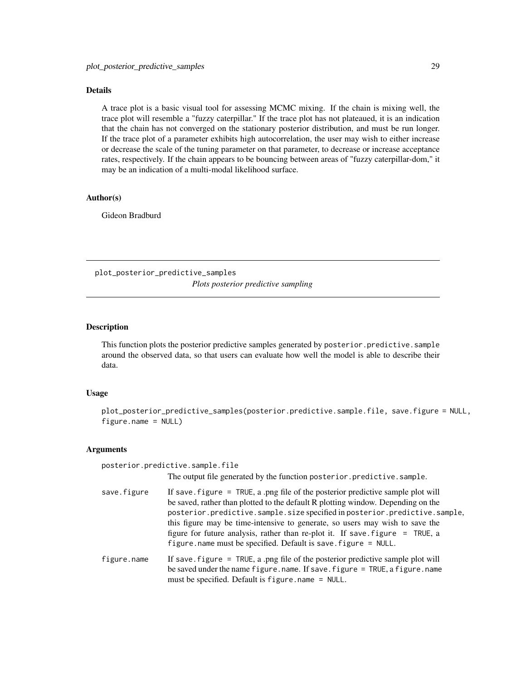<span id="page-28-0"></span>A trace plot is a basic visual tool for assessing MCMC mixing. If the chain is mixing well, the trace plot will resemble a "fuzzy caterpillar." If the trace plot has not plateaued, it is an indication that the chain has not converged on the stationary posterior distribution, and must be run longer. If the trace plot of a parameter exhibits high autocorrelation, the user may wish to either increase or decrease the scale of the tuning parameter on that parameter, to decrease or increase acceptance rates, respectively. If the chain appears to be bouncing between areas of "fuzzy caterpillar-dom," it may be an indication of a multi-modal likelihood surface.

# Author(s)

Gideon Bradburd

plot\_posterior\_predictive\_samples *Plots posterior predictive sampling*

# Description

This function plots the posterior predictive samples generated by posterior.predictive.sample around the observed data, so that users can evaluate how well the model is able to describe their data.

# Usage

plot\_posterior\_predictive\_samples(posterior.predictive.sample.file, save.figure = NULL, figure.name = NULL)

|             | posterior.predictive.sample.file                                                                                                                                                                                                                                                                                                                                                                                                                                                          |
|-------------|-------------------------------------------------------------------------------------------------------------------------------------------------------------------------------------------------------------------------------------------------------------------------------------------------------------------------------------------------------------------------------------------------------------------------------------------------------------------------------------------|
|             | The output file generated by the function posterior predictive sample.                                                                                                                                                                                                                                                                                                                                                                                                                    |
| save.figure | If save $f$ igure = TRUE, a png file of the posterior predictive sample plot will<br>be saved, rather than plotted to the default R plotting window. Depending on the<br>posterior.predictive.sample.size specified in posterior.predictive.sample,<br>this figure may be time-intensive to generate, so users may wish to save the<br>figure for future analysis, rather than re-plot it. If save figure = TRUE, a<br>figure. name must be specified. Default is save. $figure = NULL$ . |
| figure.name | If save, figure $=$ TRUE, a png file of the posterior predictive sample plot will<br>be saved under the name figure.name. If save.figure = TRUE, a figure.name<br>must be specified. Default is figure.name = NULL.                                                                                                                                                                                                                                                                       |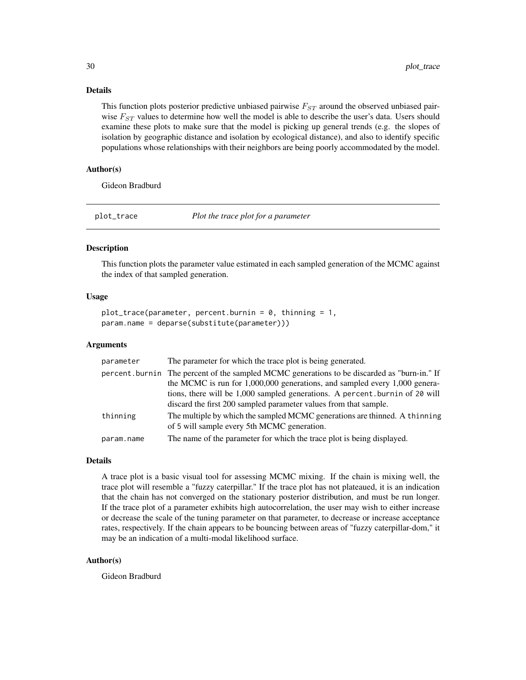This function plots posterior predictive unbiased pairwise  $F_{ST}$  around the observed unbiased pairwise  $F_{ST}$  values to determine how well the model is able to describe the user's data. Users should examine these plots to make sure that the model is picking up general trends (e.g. the slopes of isolation by geographic distance and isolation by ecological distance), and also to identify specific populations whose relationships with their neighbors are being poorly accommodated by the model.

# Author(s)

Gideon Bradburd

plot\_trace *Plot the trace plot for a parameter*

# **Description**

This function plots the parameter value estimated in each sampled generation of the MCMC against the index of that sampled generation.

# Usage

```
plot\_trace(parameter, percent.burnin = 0, thinning = 1,param.name = deparse(substitute(parameter)))
```
#### Arguments

| parameter  | The parameter for which the trace plot is being generated.                                                                |
|------------|---------------------------------------------------------------------------------------------------------------------------|
|            | percent. burnin The percent of the sampled MCMC generations to be discarded as "burn-in." If                              |
|            | the MCMC is run for 1,000,000 generations, and sampled every 1,000 genera-                                                |
|            | tions, there will be 1,000 sampled generations. A percent burnin of 20 will                                               |
|            | discard the first 200 sampled parameter values from that sample.                                                          |
| thinning   | The multiple by which the sampled MCMC generations are thinned. A thinning<br>of 5 will sample every 5th MCMC generation. |
| param.name | The name of the parameter for which the trace plot is being displayed.                                                    |

# Details

A trace plot is a basic visual tool for assessing MCMC mixing. If the chain is mixing well, the trace plot will resemble a "fuzzy caterpillar." If the trace plot has not plateaued, it is an indication that the chain has not converged on the stationary posterior distribution, and must be run longer. If the trace plot of a parameter exhibits high autocorrelation, the user may wish to either increase or decrease the scale of the tuning parameter on that parameter, to decrease or increase acceptance rates, respectively. If the chain appears to be bouncing between areas of "fuzzy caterpillar-dom," it may be an indication of a multi-modal likelihood surface.

# Author(s)

Gideon Bradburd

<span id="page-29-0"></span>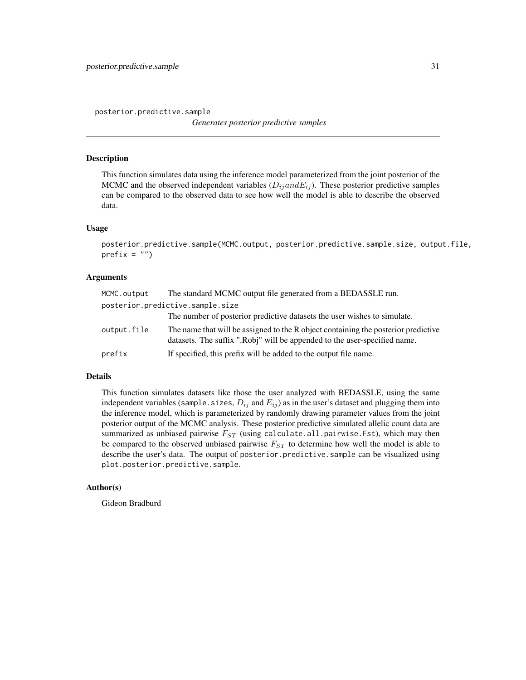<span id="page-30-0"></span>posterior.predictive.sample

*Generates posterior predictive samples*

# Description

This function simulates data using the inference model parameterized from the joint posterior of the MCMC and the observed independent variables  $(D_{ij} and E_{ij})$ . These posterior predictive samples can be compared to the observed data to see how well the model is able to describe the observed data.

#### Usage

```
posterior.predictive.sample(MCMC.output, posterior.predictive.sample.size, output.file,
prefix = "")
```
# Arguments

| MCMC.output                      | The standard MCMC output file generated from a BEDASSLE run.                                                                                                    |  |
|----------------------------------|-----------------------------------------------------------------------------------------------------------------------------------------------------------------|--|
| posterior.predictive.sample.size |                                                                                                                                                                 |  |
|                                  | The number of posterior predictive datasets the user wishes to simulate.                                                                                        |  |
| output.file                      | The name that will be assigned to the R object containing the posterior predictive<br>datasets. The suffix ".Robj" will be appended to the user-specified name. |  |
| prefix                           | If specified, this prefix will be added to the output file name.                                                                                                |  |

#### Details

This function simulates datasets like those the user analyzed with BEDASSLE, using the same independent variables (sample.sizes,  $D_{ij}$  and  $E_{ij}$ ) as in the user's dataset and plugging them into the inference model, which is parameterized by randomly drawing parameter values from the joint posterior output of the MCMC analysis. These posterior predictive simulated allelic count data are summarized as unbiased pairwise  $F_{ST}$  (using calculate.all.pairwise.Fst), which may then be compared to the observed unbiased pairwise  $F_{ST}$  to determine how well the model is able to describe the user's data. The output of posterior.predictive.sample can be visualized using plot.posterior.predictive.sample.

# Author(s)

Gideon Bradburd